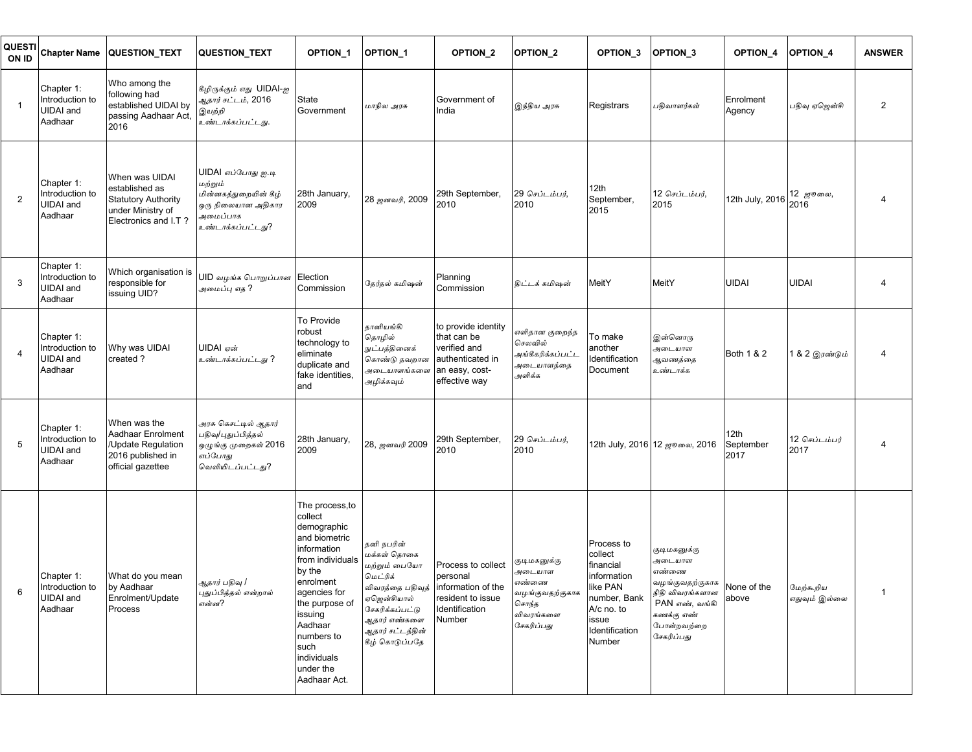| QUESTI <br>ON ID        | <b>Chapter Name</b>                                          | <b>QUESTION_TEXT</b>                                                                                        | <b>QUESTION TEXT</b>                                                                                                  | OPTION <sub>1</sub>                                                                                                                                                                                                                            | <b>OPTION 1</b>                                                                                                                                                                 | <b>OPTION 2</b>                                                                                           | <b>OPTION 2</b>                                                                        | OPTION <sub>3</sub>                                                                                                              | OPTION <sub>3</sub>                                                                                                               | <b>OPTION 4</b>                | OPTION <sub>4</sub>   | <b>ANSWER</b>  |
|-------------------------|--------------------------------------------------------------|-------------------------------------------------------------------------------------------------------------|-----------------------------------------------------------------------------------------------------------------------|------------------------------------------------------------------------------------------------------------------------------------------------------------------------------------------------------------------------------------------------|---------------------------------------------------------------------------------------------------------------------------------------------------------------------------------|-----------------------------------------------------------------------------------------------------------|----------------------------------------------------------------------------------------|----------------------------------------------------------------------------------------------------------------------------------|-----------------------------------------------------------------------------------------------------------------------------------|--------------------------------|-----------------------|----------------|
| $\overline{1}$          | Chapter 1:<br>Introduction to<br><b>UIDAI</b> and<br>Aadhaar | Who among the<br>following had<br>established UIDAI by<br>passing Aadhaar Act,<br>2016                      | கீழிருக்கும் எது UIDAI-ஐ<br>ஆதார் சட்டம், 2016<br>இயற்றி<br>உண்டாக்கப்பட்டது.                                         | <b>State</b><br>Government                                                                                                                                                                                                                     | மாநில அரசு                                                                                                                                                                      | Government of<br>India                                                                                    | இந்திய அரசு                                                                            | Registrars                                                                                                                       | பதிவாளர்கள்                                                                                                                       | Enrolment<br>Agency            | பதிவு ஏஜென்சி         | $\overline{2}$ |
| $\overline{2}$          | Chapter 1:<br>Introduction to<br>UIDAI and<br>Aadhaar        | When was UIDAI<br>established as<br><b>Statutory Authority</b><br>under Ministry of<br>Electronics and I.T? | UIDAI எப்போது <u>ஐ</u> .டி<br>மற்றும்<br>மின்னகத்துறையின் கீழ்<br>ஒரு நிலையான அதிகார<br>அமைப்பாக<br>உண்டாக்கப்பட்டது? | 28th January,<br>2009                                                                                                                                                                                                                          | 28 ஜனவரி, 2009                                                                                                                                                                  | 29th September,<br>2010                                                                                   | 29 செப்டம்பர்,<br>2010                                                                 | 12th<br>September,<br>2015                                                                                                       | 12 செப்டம்பர்,<br>2015                                                                                                            | 12th July, 2016                | 12 ஜூலை,<br>2016      | 4              |
| 3                       | Chapter 1:<br>Introduction to<br>UIDAI and<br>Aadhaar        | Which organisation is<br>responsible for<br>issuing UID?                                                    | UID வழங்க பொறுப்பான Election<br>அமைப்பு எக ?                                                                          | Commission                                                                                                                                                                                                                                     | தேர்தல் கமிஷன்                                                                                                                                                                  | Planning<br>Commission                                                                                    | <u>இட்டக் கமிஷன்</u>                                                                   | MeitY                                                                                                                            | MeitY                                                                                                                             | UIDAI                          | UIDAI                 |                |
| $\overline{\mathbf{4}}$ | Chapter 1:<br>Introduction to<br><b>UIDAI</b> and<br>Aadhaar | Why was UIDAI<br>created ?                                                                                  | UIDAI என்<br>உண்டாக்கப்பட்டது ?                                                                                       | To Provide<br>robust<br>technology to<br>eliminate<br>duplicate and<br>fake identities,<br>and                                                                                                                                                 | தானியங்கி<br>தொழில்<br>நுட்பத்தினைக்<br>கொண்டு தவறான<br>அடையாளங்களை<br>அழிக்கவும்                                                                                               | to provide identity<br>that can be<br>verified and<br>authenticated in<br>an easy, cost-<br>effective way | ரளிதான குறைந்த<br>செலவில்<br>அங்கீகரிக்கப்பட்ட<br>அடையாளத்தை<br>அளிக்க                 | To make<br>another<br>Identification<br><b>Document</b>                                                                          | இன்னொரு<br>அடையாள<br>ஆவணத்தை<br>உண்டாக்க                                                                                          | Both 1 & 2                     | 1 & 2 இரண்டும்        | 4              |
| 5                       | Chapter 1:<br>Introduction to<br><b>UIDAI</b> and<br>Aadhaar | When was the<br>Aadhaar Enrolment<br>/Update Regulation<br>2016 published in<br>official gazettee           | .<br>அரசு கெசட்டில் ஆதார <mark>்</mark><br>பதிவு/புதுப்பித்தல்<br>ஒழுங்கு முறைகள் 2016<br>எப்போது<br>வெளியிடப்பட்டது? | 28th January,<br>2009                                                                                                                                                                                                                          | 28, ஜனவரி 2009                                                                                                                                                                  | 29th September,<br>2010                                                                                   | 29 செப்டம்பர்,<br>2010                                                                 |                                                                                                                                  | 12th July, 2016 12 ஜூலை, 2016                                                                                                     | 12th<br>September<br>2017      | 12 செப்டம்பர்<br>2017 |                |
| 6                       | Chapter 1:<br>Introduction to<br><b>UIDAI</b> and<br>Aadhaar | What do you mean<br>by Aadhaar<br>Enrolment/Update<br>Process                                               | ஆதார் பதிவு /<br>புதுப்பித்தல் என்றால்<br>என்ன?                                                                       | The process, to<br>collect<br>demographic<br>and biometric<br>information<br>from individuals<br>by the<br>enrolment<br>agencies for<br>the purpose of<br>issuing<br>Aadhaar<br>numbers to<br>such<br>individuals<br>under the<br>Aadhaar Act. | தனி நபரின்<br>மக்கள் தொகை<br>மற்றும் பையோ<br>மெட்ரிக்<br>விவரத்தை பதிவுத்<br>ஏஜென்சியால்<br>சேகரிக்கப்பட்டு<br>ஆதார் எண்கள <mark>ை</mark><br>ஆதார் சட்டத்தின்<br>கீழ் கொடுப்பதே | Process to collect<br>personal<br>information of the<br>resident to issue<br>Identification<br>Number     | குடிமகனுக்கு<br>அடையாள<br>எண்ணை<br>வழங்குவதற்குகாக<br>சொந்த<br>விவரங்களை<br>சேகரிப்பது | Process to<br>collect<br>financial<br>information<br>like PAN<br>number, Bank<br>A/c no. to<br>issue<br>Identification<br>Number | குடிமகனுக்கு<br>அடையாள<br>எண்ணை<br>வழங்குவதற்குகாக<br>நிதி விவரங்களான<br>PAN எண், வங்கி<br>கணக்கு எண்<br>போன்றவற்றை<br>சேகரிப்பது | None of the மேற்கூறிய<br>above | எதுவும் இல்லை         | $\mathbf{1}$   |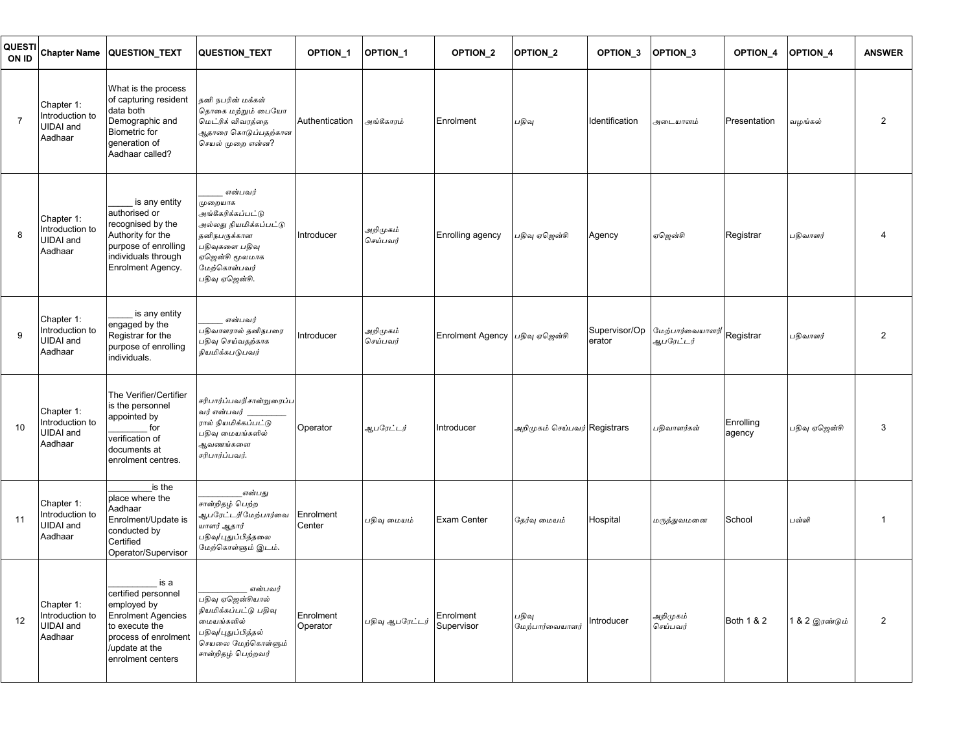| <b>QUESTI</b><br>ON ID | <b>Chapter Name</b>                                          | <b>QUESTION TEXT</b>                                                                                                                                    | QUESTION_TEXT                                                                                                                                            | <b>OPTION 1</b>       | <b>OPTION 1</b>      | OPTION <sub>2</sub>            | OPTION <sub>2</sub>          | OPTION <sub>3</sub>     | OPTION <sub>3</sub>          | OPTION_4            | OPTION <sub>4</sub>    | <b>ANSWER</b>  |
|------------------------|--------------------------------------------------------------|---------------------------------------------------------------------------------------------------------------------------------------------------------|----------------------------------------------------------------------------------------------------------------------------------------------------------|-----------------------|----------------------|--------------------------------|------------------------------|-------------------------|------------------------------|---------------------|------------------------|----------------|
| $\overline{7}$         | Chapter 1:<br>Introduction to<br>UIDAI and<br>Aadhaar        | What is the process<br>of capturing resident<br>data both<br>Demographic and<br><b>Biometric</b> for<br>generation of<br>Aadhaar called?                | தனி நபரின் மக்கள்<br>தொகை மற்றும் பையோ<br>மெட்ரிக் விவரத்தை<br>ஆதாரை கொடுப்பதற்கான<br>செயல் முறை என்ன?                                                   | Authentication        | அங்கீகாரம்           | Enrolment                      | பதிவு                        | Identification          | அடையாளம்                     | Presentation        | வழங்கல்                | 2              |
| 8                      | Chapter 1:<br>Introduction to<br><b>UIDAI</b> and<br>Aadhaar | is any entity<br>authorised or<br>recognised by the<br>Authority for the<br>purpose of enrolling<br>individuals through<br>Enrolment Agency.            | என்பவர்<br>முறையாக<br>அங்கீகரிக்கப்பட்டு<br>அல்லது நியமிக்கப்பட்டு<br>தனிநபருக்கான<br>பதிவுகளை பதிவு<br>ஏஜென்சி மூலமாக<br>மேற்கொள்பவர்<br>பதிவு ஏஜென்சி. | Introducer            | அறிமுகம்<br>செய்பவர் | Enrolling agency               | பதிவு ஏஜென்சி                | Agency                  | ஏஜென்சி                      | Registrar           | பதிவாளர்               | 4              |
| 9                      | Chapter 1:<br>Introduction to<br><b>UIDAI</b> and<br>Aadhaar | is any entity<br>engaged by the<br>Registrar for the<br>purpose of enrolling<br>individuals.                                                            | என்பவர்<br>பதிவாளரால் தனிநபரை<br>பதிவு செய்வதற்காக<br>நியமிக்கபடுபவர்                                                                                    | Introducer            | அறிமுகம்<br>செய்பவர் | Enrolment Agency பதிவு ஏஜென்சி |                              | Supervisor/Op<br>erator | மேற்பார்வையாளர்<br>ஆபரேட்டர் | Registrar           | பதிவாளர்               | $\overline{2}$ |
| 10                     | Chapter 1:<br>Introduction to<br>UIDAI and<br>Aadhaar        | The Verifier/Certifier<br>is the personnel<br>appointed by<br>for<br>verification of<br>documents at<br>enrolment centres.                              | சரிபார்ப்பவர்/சான்றுரைப்ப<br>வர் என்பவர்<br>ரால் நியமிக்கப்பட்டு<br>பதிவு மையங்களில்<br>ஆவணங்களை<br>சரிபார்ப்பவர்.                                       | Operator              | ஆபரேட்டர்            | Introducer                     | அறிமுகம் செய்பவர் Registrars |                         | பதிவாளர்கள்                  | Enrolling<br>agency | பதிவு ஏஜென்சி          | 3              |
| 11                     | Chapter 1:<br>Introduction to<br><b>UIDAI</b> and<br>Aadhaar | is the<br>place where the<br>Aadhaar<br>Enrolment/Update is<br>conducted by<br>Certified<br>Operator/Supervisor                                         | என்பது<br>சான்றிதழ் பெற்ற<br>ஆபரேட்டர்/மேற்பார்வை<br>யாளர் ஆதார்<br>பதிவு/புதுப்பித்தலை<br>மேற்கொள்ளும் இடம்.                                            | Enrolment<br>Center   | பதிவு மையம்          | Exam Center                    | தேர்வு மையம்                 | Hospital                | மருத்துவமனை                  | School              | பள்ளி                  | -1             |
| 12                     | Chapter 1:<br>Introduction to<br>UIDAI and<br>Aadhaar        | is a<br>certified personnel<br>employed by<br><b>Enrolment Agencies</b><br>to execute the<br>process of enrolment<br>update at the<br>enrolment centers | என்பவர்<br>பதிவு ஏஜென்சியால்<br>நியமிக்கப்பட்டு பதிவு<br>மையங்களில்<br>பதிவு/புதுப்பித்தல்<br>செயலை மேற்கொள்ளும்<br>சான்றிதழ் பெற்றவர்                   | Enrolment<br>Operator | பதிவு ஆபரேட்டர்      | Enrolment<br>Supervisor        | பதிவு<br>மேற்பார்வையாளர்     | Introducer              | அறிமுகம்<br>செய்பவர்         | Both 1 & 2          | 1 & 2 இ <i>ரண்டும்</i> | $\overline{2}$ |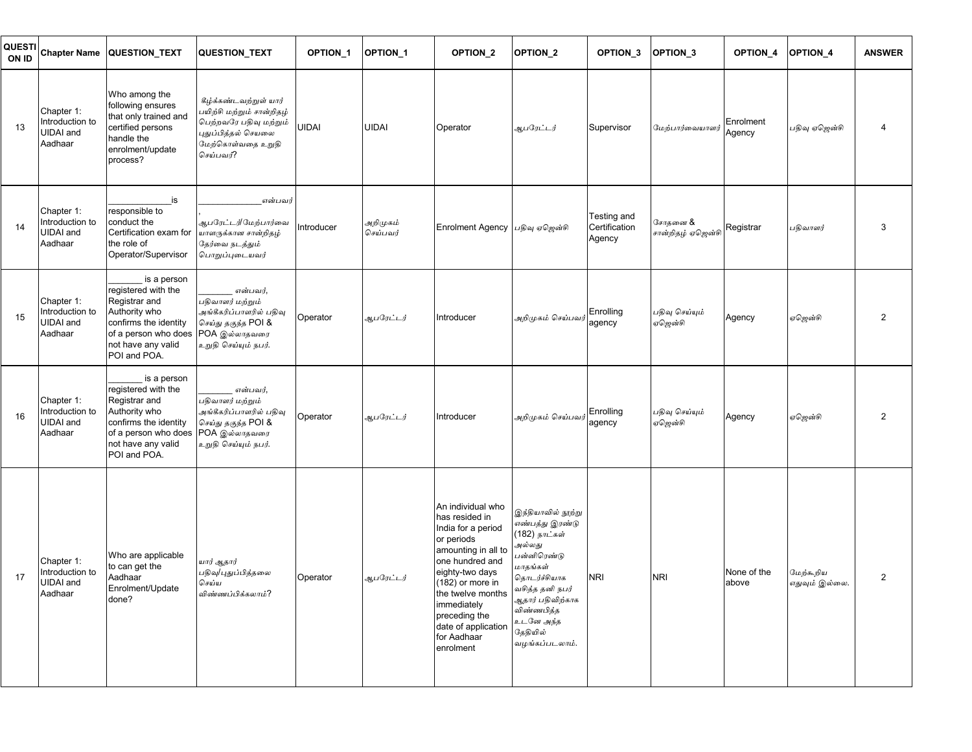| QUESTI<br>ON ID | <b>Chapter Name</b>                                          | <b>QUESTION TEXT</b>                                                                                                                                        | QUESTION_TEXT                                                                                                                          | OPTION <sub>1</sub> | <b>OPTION 1</b>      | OPTION <sub>2</sub>                                                                                                                                                                                                                                              | OPTION <sub>2</sub>                                                                                                                                                                                         | OPTION <sub>3</sub>                    | <b>OPTION 3</b>              | OPTION <sub>4</sub>  | OPTION <sub>4</sub>         | <b>ANSWER</b>  |
|-----------------|--------------------------------------------------------------|-------------------------------------------------------------------------------------------------------------------------------------------------------------|----------------------------------------------------------------------------------------------------------------------------------------|---------------------|----------------------|------------------------------------------------------------------------------------------------------------------------------------------------------------------------------------------------------------------------------------------------------------------|-------------------------------------------------------------------------------------------------------------------------------------------------------------------------------------------------------------|----------------------------------------|------------------------------|----------------------|-----------------------------|----------------|
| 13              | Chapter 1:<br>Introduction to<br><b>UIDAI</b> and<br>Aadhaar | Who among the<br>following ensures<br>that only trained and<br>certified persons<br>handle the<br>enrolment/update<br>process?                              | கீழ்க்கண்டவற்றுள் யார்<br>பயிற்சி மற்றும் சான்றிதழ்<br>பெற்றவரே பதிவு மற்றும்<br>புதுப்பித்தல் செயலை<br>மேற்கொள்வதை உறுதி<br>செய்பவர்? | <b>UIDAI</b>        | <b>UIDAI</b>         | Operator                                                                                                                                                                                                                                                         | ஆபரேட்டர்                                                                                                                                                                                                   | Supervisor                             | மேற்பார்வையாளர்              | Enrolment<br>Agency  | பதிவு ஏஜென்சி               | 4              |
| 14              | Chapter 1:<br>Introduction to<br><b>UIDAI</b> and<br>Aadhaar | is<br>responsible to<br>conduct the<br>Certification exam for<br>the role of<br>Operator/Supervisor                                                         | என்பவர்<br>ஆபரேட்டர்/மேற்பார்வை<br>யாளருக்கான சான்றிதழ்<br>தேர்வை நடத்தும்<br>பொறுப்புடையவர்                                           | introducer          | அறிமுகம்<br>செய்பவர் | Enrolment Agency பதிவு ஏஜென்சி                                                                                                                                                                                                                                   |                                                                                                                                                                                                             | Testing and<br>Certification<br>Agency | சோதனை &<br>சான்றிதழ் ஏஜென்சி | Registrar            | பதிவாளர்                    | 3              |
| 15              | Chapter 1:<br>Introduction to<br><b>UIDAI</b> and<br>Aadhaar | is a person<br>registered with the<br>Registrar and<br>Authority who<br>confirms the identity<br>of a person who does<br>not have any valid<br>POI and POA. | என்பவர்,<br>பதிவாளர் மற்றும்<br>அங்கீகரிப்பாளரில் பதிவு<br>செய்து தகுந்த POI &<br>POA இல்லாதவரை<br>உறுதி செய்யும் நபர்.                | Operator            | ஆபரேட்டர்            | Introducer                                                                                                                                                                                                                                                       | அறிமுகம் செய்பவர் Enrolling<br> agency                                                                                                                                                                      |                                        | பதிவு செய்யும்<br>ஏஜென்சி    | Agency               | ஏஜென்சி                     | $\overline{2}$ |
| 16              | Chapter 1:<br>Introduction to<br><b>UIDAI</b> and<br>Aadhaar | is a person<br>registered with the<br>Registrar and<br>Authority who<br>confirms the identity<br>of a person who does<br>not have any valid<br>POI and POA. | என்பவர்,<br>பதிவாளர் மற்றும்<br>அங்கீகரிப்பாளரில் பதிவு<br>செய்து தகுந்த POI &<br>POA இல்லாதவரை<br>உறுதி செய்யும் நபர்.                | Operator            | ஆபரேட்டர்            | Introducer                                                                                                                                                                                                                                                       | அறிமுகம் செய்பவர்                                                                                                                                                                                           | Enrolling<br>agency                    | பதிவு செய்யும்<br>ஏஜென்சி    | Agency               | ஏஜென்சி                     | 2              |
| 17              | Chapter 1:<br>Introduction to<br><b>UIDAI</b> and<br>Aadhaar | Who are applicable<br>to can get the<br>Aadhaar<br>Enrolment/Update<br>done?                                                                                | யார் ஆதார்<br>பதிவு/புதுப்பித்தலை<br>செய்ய<br>விண்ணப்பிக்கலாம்?                                                                        | Operator            | ஆபரேட்டர்            | An individual who<br>has resided in<br>India for a period<br>or periods<br>amounting in all to<br>one hundred and<br>eighty-two days<br>(182) or more in<br>the twelve months<br>immediately<br>preceding the<br>date of application<br>for Aadhaar<br>enrolment | இந்தியாவில் நூற்று<br>எண்பத்து இரண்டு<br>(182) நாட்கள்<br>அல்லது<br>பன்னிரெண்டு<br>மாதங்கள்<br>தொடர்ச்சியாக<br>வசித்த தனி நபர்<br>ஆதார் பதிவிற்காக<br>விண்ணபித்த<br>உடனே அந்த<br>தேதியில்<br>வழங்கப்படலாம். | <b>NRI</b>                             | <b>NRI</b>                   | None of the<br>above | மேற்கூறிய<br>எதுவும் இல்லை. | $\overline{c}$ |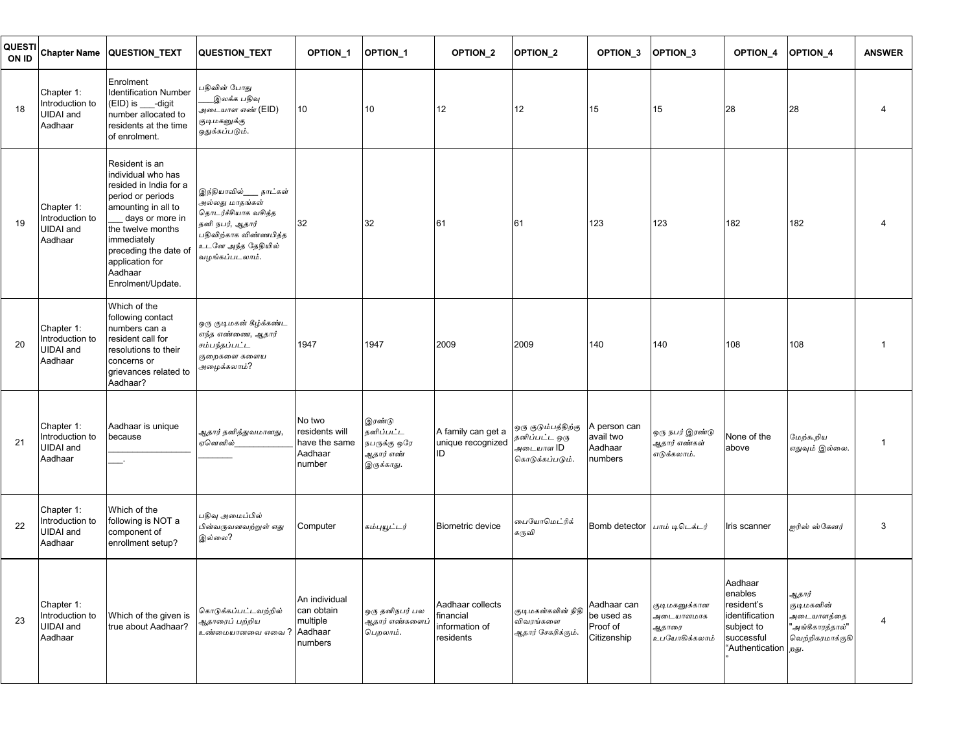| QUESTI<br>ON ID | <b>Chapter Name</b>                                          | QUESTION_TEXT                                                                                                                                                                                                                                 | QUESTION_TEXT                                                                                                                                        | OPTION <sub>1</sub>                                            | <b>OPTION 1</b>                                                | OPTION_2                                                     | <b>OPTION 2</b>                                                      | OPTION_3                                             | OPTION <sub>3</sub>                                  | <b>OPTION 4</b>                                                                                        | OPTION <sub>4</sub>                                                       | <b>ANSWER</b>  |
|-----------------|--------------------------------------------------------------|-----------------------------------------------------------------------------------------------------------------------------------------------------------------------------------------------------------------------------------------------|------------------------------------------------------------------------------------------------------------------------------------------------------|----------------------------------------------------------------|----------------------------------------------------------------|--------------------------------------------------------------|----------------------------------------------------------------------|------------------------------------------------------|------------------------------------------------------|--------------------------------------------------------------------------------------------------------|---------------------------------------------------------------------------|----------------|
| 18              | Chapter 1:<br>Introduction to<br><b>UIDAI</b> and<br>Aadhaar | Enrolment<br><b>Identification Number</b><br>(EID) is ___-digit<br>number allocated to<br>residents at the time<br>of enrolment.                                                                                                              | பதிவின் போது<br>இலக்க பதிவு<br>அடையாள எண் (EID)<br>குடிமகனுக்கு<br>ஒதுக்கப்படும்.                                                                    | 10                                                             | 10                                                             | 12                                                           | 12                                                                   | 15                                                   | 15                                                   | 28                                                                                                     | 28                                                                        |                |
| 19              | Chapter 1:<br>Introduction to<br><b>UIDAI</b> and<br>Aadhaar | Resident is an<br>individual who has<br>resided in India for a<br>period or periods<br>amounting in all to<br>days or more in<br>the twelve months<br>immediately<br>preceding the date of<br>application for<br>Aadhaar<br>Enrolment/Update. | இந்தியாவில்___ நாட்கள்<br>அல்லது மாதங்கள்<br>தொடர்ச்சியாக வசித்த<br>தனி நபர், ஆதார்<br>பதிவிற்காக விண்ணபித்த<br>உடனே அந்த தேதியில்<br>வழங்கப்படலாம். | 32                                                             | 32                                                             | 61                                                           | 61                                                                   | 123                                                  | 123                                                  | 182                                                                                                    | 182                                                                       |                |
| 20              | Chapter 1:<br>Introduction to<br><b>UIDAI</b> and<br>Aadhaar | Which of the<br>following contact<br>numbers can a<br>resident call for<br>resolutions to their<br>concerns or<br>grievances related to<br>Aadhaar?                                                                                           | ஒரு குடிமகன் கீழ்க்கண்ட<br>எந்த எண்ணை, ஆதார்<br>சம்பந்தப்பட்ட<br>குறைகளை களைய<br>அழைக்கலாம்?                                                         | 1947                                                           | 1947                                                           | 2009                                                         | 2009                                                                 | 140                                                  | 140                                                  | 108                                                                                                    | 108                                                                       |                |
| 21              | Chapter 1:<br>Introduction to<br><b>UIDAI</b> and<br>Aadhaar | Aadhaar is unique<br>because                                                                                                                                                                                                                  | ஆதார் தனித்துவமானது,<br>ஏனெனில்                                                                                                                      | No two<br>residents will<br>have the same<br>Aadhaar<br>number | இரண்டு<br>தனிப்பட்ட<br>நபருக்கு ஒரே<br>ஆதார் எண்<br>இருக்காது. | A family can get a<br>unique recognized<br>ID                | ஒரு குடும்பத்திற்கு<br>தனிப்பட்ட ஒரு<br>அடையாள ID<br>கொடுக்கப்படும். | A person can<br>avail two<br>Aadhaar<br>numbers      | ஒரு நபர் இரண்டு<br>ஆதார் எண்கள்<br>எடுக்கலாம்.       | None of the<br>above                                                                                   | மேற்கூறிய<br>எதுவும் இல்லை.                                               | $\overline{1}$ |
| 22              | Chapter 1:<br>Introduction to<br><b>UIDAI</b> and<br>Aadhaar | Which of the<br>following is NOT a<br>component of<br>enrollment setup?                                                                                                                                                                       | பதிவு அமைப்பில்<br>பின்வருவனவற்றுள் எது<br>இல்லை?                                                                                                    | Computer                                                       | கம்புயூட்டர்                                                   | <b>Biometric device</b>                                      | பையோமெட்ரிக்<br>கருவி                                                | Bomb detector                                        | பாம் டிடெக்டர்                                       | Iris scanner                                                                                           | ஐரிஸ் ஸ்கேனர்                                                             | 3              |
| 23              | Chapter 1:<br>Introduction to<br><b>UIDAI</b> and<br>Aadhaar | Which of the given is<br>true about Aadhaar?                                                                                                                                                                                                  | கொடுக்கப்பட்டவற்றில்<br>ஆதாரைப் பற்றிய<br>உண்மையானவை எவை ?                                                                                           | An individual<br>can obtain<br>multiple<br>Aadhaar<br>numbers  | ஒரு தனிநபர் பல<br>ஆதார் எண்களைப்<br>பெறலாம்.                   | Aadhaar collects<br>financial<br>information of<br>residents | குடிமகன்களின் நிதி<br>விவரங்களை<br>ஆதார் சேகரிக்கும்.                | Aadhaar can<br>be used as<br>Proof of<br>Citizenship | குடிமகனுக்கான<br>அடையாளமாக<br>ஆதாரை<br>உபயோகிக்கலாம் | Aadhaar<br>enables<br>resident's<br>identification<br>subject to<br>successful<br>"Authentication psy. | ஆதார்<br>குடிமகனின்<br>அடையாளத்தை<br>"அங்கீகாரத்தால்"<br>வெற்றிகரமாக்குகி | 4              |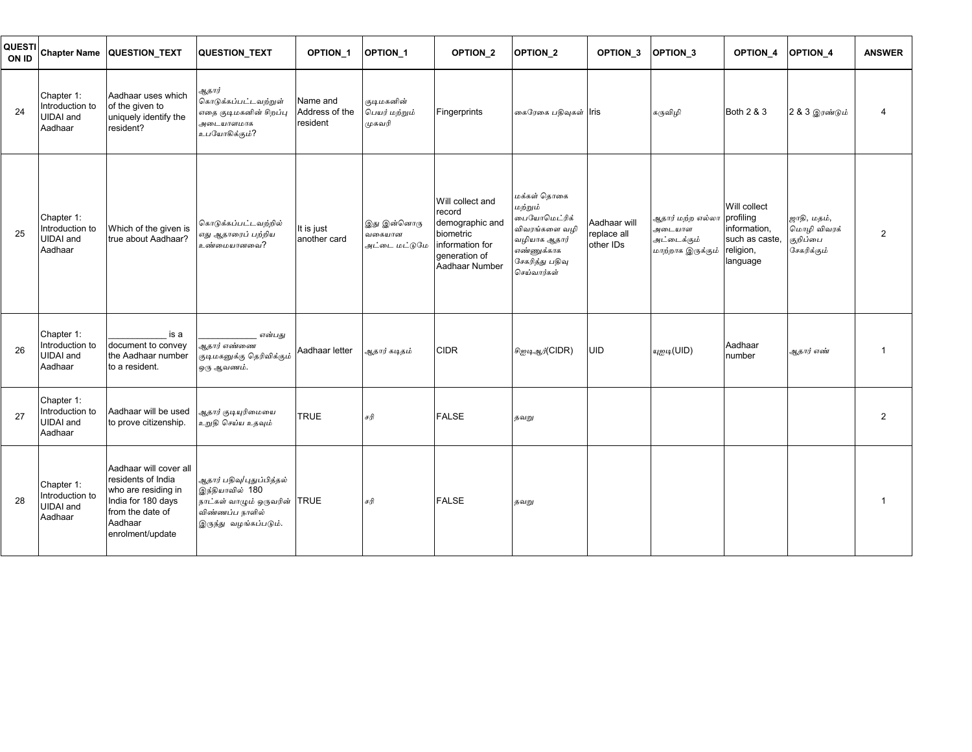| <b>QUESTI</b><br>ON ID | <b>Chapter Name</b>                                          | <b>QUESTION TEXT</b>                                                                                                                         | <b>QUESTION TEXT</b>                                                                                                     | OPTION_1                               | <b>OPTION 1</b>                        | OPTION <sub>2</sub>                                                                                              | OPTION <sub>2</sub>                                                                                                     | OPTION_3                                 | OPTION <sub>3</sub>                                            | OPTION <sub>4</sub>                                                                  | <b>OPTION 4</b>                                       | <b>ANSWER</b>  |
|------------------------|--------------------------------------------------------------|----------------------------------------------------------------------------------------------------------------------------------------------|--------------------------------------------------------------------------------------------------------------------------|----------------------------------------|----------------------------------------|------------------------------------------------------------------------------------------------------------------|-------------------------------------------------------------------------------------------------------------------------|------------------------------------------|----------------------------------------------------------------|--------------------------------------------------------------------------------------|-------------------------------------------------------|----------------|
| 24                     | Chapter 1:<br>Introduction to<br><b>UIDAI</b> and<br>Aadhaar | Aadhaar uses which<br>of the given to<br>uniquely identify the<br>resident?                                                                  | ஆதார்<br>கொடுக்கப்பட்டவற்றுள்<br>எதை குடிமகனின் சிறப்பு<br>அடையாளமாக<br>உபயோகிக்கும்?                                    | Name and<br>Address of the<br>resident | குடிமகனின்<br>பெயர் மற்றும்<br>முகவரி  | Fingerprints                                                                                                     | கைரேகை பதிவுகள் Iris                                                                                                    |                                          | கருவிழி                                                        | Both 2 & 3                                                                           | 2 & 3 இரண்டும்                                        | 4              |
| 25                     | Chapter 1:<br>Introduction to<br><b>UIDAI</b> and<br>Aadhaar | Which of the given is<br>true about Aadhaar?                                                                                                 | கொடுக்கப்பட்டவற்றில்<br>எது ஆதாரைப் பற்றிய<br>உண்மையானவை?                                                                | It is just<br>another card             | இது இன்னொரு<br>வகையான<br>அட்டை மட்டுமே | Will collect and<br>record<br>demographic and<br>biometric<br>information for<br>generation of<br>Aadhaar Number | மக்கள் கொகை<br>மற்றும்<br>பையோமெட்ரிக்<br>விவரங்களை வழி<br>வழியாக ஆதார்<br>எண்ணுக்காக<br>சேகரித்து பதிவு<br>செய்வார்கள் | Aadhaar will<br>replace all<br>other IDs | ஆதார் மற்ற எல்லா<br>அடையாள<br>அட்டைக்கும்<br>மாற்றாக இருக்கும் | Will collect<br>profiling<br>information,<br>such as caste.<br>religion,<br>language | ஜாதி, மதம்,<br>மொழி விவரக்<br>குறிப்பை<br>சேகரிக்கும் | $\overline{2}$ |
| 26                     | Chapter 1:<br>Introduction to<br><b>UIDAI</b> and<br>Aadhaar | is a<br>document to convey<br>the Aadhaar number<br>to a resident.                                                                           | என்பது<br>ஆதார் எண்ணை<br>குடிமகனுக்கு தெரிவிக்கும்<br>ஒரு ஆவணம்.                                                         | Aadhaar letter                         | ஆதார் கடிதம்                           | <b>CIDR</b>                                                                                                      | சிஐடிஆர்(CIDR)                                                                                                          | <b>UID</b>                               | யுஐடி(UID)                                                     | Aadhaar<br>number                                                                    | ஆதார் எண்                                             |                |
| 27                     | Chapter 1:<br>Introduction to<br><b>UIDAI</b> and<br>Aadhaar | Aadhaar will be used<br>to prove citizenship.                                                                                                | ஆதார் குடியுரிமையை<br>உறுதி செய்ய உதவும்                                                                                 | <b>TRUE</b>                            | சரி                                    | <b>FALSE</b>                                                                                                     | தவறு                                                                                                                    |                                          |                                                                |                                                                                      |                                                       | $\overline{2}$ |
| 28                     | Chapter 1:<br>Introduction to<br><b>UIDAI</b> and<br>Aadhaar | Aadhaar will cover all<br>residents of India<br>who are residing in<br>India for 180 days<br>from the date of<br>Aadhaar<br>enrolment/update | ஆதார் பதிவு/புதுப்பித்தல்<br>இந்தியாவில் 180<br>நாட்கள் வாழும் ஒருவரின் TRUE<br>விண்ணப்ப நாளில்<br>இருந்து வழங்கப்படும். |                                        | சரி                                    | <b>FALSE</b>                                                                                                     | தவறு                                                                                                                    |                                          |                                                                |                                                                                      |                                                       |                |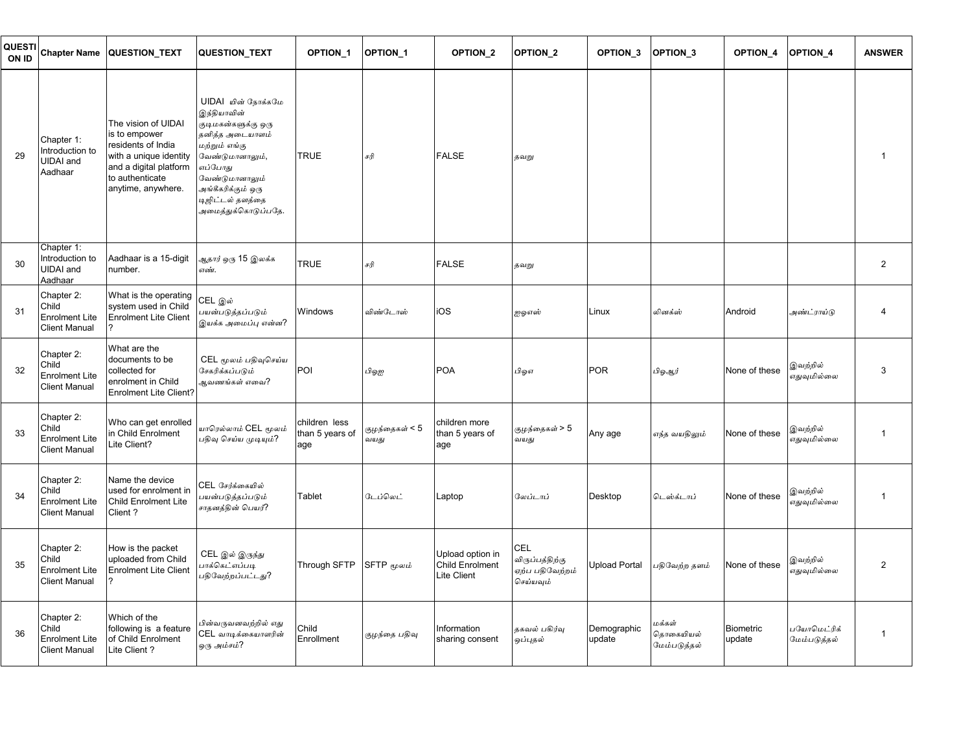| QUESTI<br>ON ID | <b>Chapter Name</b>                                                  | QUESTION_TEXT                                                                                                                                           | <b>QUESTION TEXT</b>                                                                                                                                                                                          | OPTION_1                                | OPTION <sub>1</sub>    | OPTION_2                                                  | <b>OPTION 2</b>                                        | OPTION_3              | <b>OPTION 3</b>                     | OPTION_4                   | OPTION_4                    | <b>ANSWER</b>  |
|-----------------|----------------------------------------------------------------------|---------------------------------------------------------------------------------------------------------------------------------------------------------|---------------------------------------------------------------------------------------------------------------------------------------------------------------------------------------------------------------|-----------------------------------------|------------------------|-----------------------------------------------------------|--------------------------------------------------------|-----------------------|-------------------------------------|----------------------------|-----------------------------|----------------|
| 29              | Chapter 1:<br>Introduction to<br><b>UIDAI</b> and<br>Aadhaar         | The vision of UIDAI<br>is to empower<br>residents of India<br>with a unique identity<br>and a digital platform<br>to authenticate<br>anytime, anywhere. | UIDAI யின் நோக்கமே<br>இந்தியாவின்<br>குடிமகன்களுக்கு ஒரு<br>தனித்த அடையாளம்<br>மற்றும் எங்கு<br>வேண்டுமானாலும்,<br>எப்போது<br>வேண்டுமானாலும்<br>அங்கீகரிக்கும் ஒரு<br>டிஜிட்டல் தளத்தை<br>அமைத்துக்கொடுப்பதே. | <b>TRUE</b>                             | சரி                    | <b>FALSE</b>                                              | தவறு                                                   |                       |                                     |                            |                             | $\mathbf 1$    |
| 30              | Chapter 1:<br>Introduction to<br><b>UIDAI</b> and<br>Aadhaar         | Aadhaar is a 15-digit<br>number.                                                                                                                        | ஆதார் ஒரு 15 இலக் <mark>க</mark><br>எண்.                                                                                                                                                                      | TRUE                                    | சரி                    | <b>FALSE</b>                                              | தவறு                                                   |                       |                                     |                            |                             | $\overline{2}$ |
| 31              | Chapter 2:<br>Child<br><b>Enrolment Lite</b><br><b>Client Manual</b> | What is the operating<br>system used in Child<br><b>Enrolment Lite Client</b>                                                                           | CEL இல்<br>பயன்படுத்தப்படும்<br>இயக்க அமைப்பு என்ன?                                                                                                                                                           | Windows                                 | விண்டோஸ்               | iOS                                                       | ஐஓஎஸ்                                                  | Linux                 | லினக்ஸ்                             | Android                    | அண்ட்ராய்டு                 | $\overline{4}$ |
| 32              | Chapter 2:<br>Child<br><b>Enrolment Lite</b><br><b>Client Manual</b> | What are the<br>documents to be<br>collected for<br>enrolment in Child<br><b>Enrolment Lite Client?</b>                                                 | CEL மூலம் பதிவுசெய்ய<br>சேகரிக்கப்படும்<br>ஆவணங்கள் எவை?                                                                                                                                                      | POI                                     | பிஓஐ                   | <b>POA</b>                                                | பிஓஎ                                                   | <b>POR</b>            | பிஓஆர்                              | None of these              | இவற்றில்<br>எதுவுமில்லை     | 3              |
| 33              | Chapter 2:<br>Child<br><b>Enrolment Lite</b><br><b>Client Manual</b> | Who can get enrolled<br>in Child Enrolment<br>Lite Client?                                                                                              | யாரெல்லாம் CEL மூலம்<br>பதிவு செய்ய முடியும்?                                                                                                                                                                 | children less<br>than 5 years of<br>age | குழந்தைகள் < 5<br>வயது | children more<br>than 5 years of<br>age                   | குழந்தைகள் > 5<br>வயது                                 | Any age               | எந்த வயதிலும்                       | None of these              | இவற்றில்<br>எதுவுமில்லை     | $\mathbf{1}$   |
| 34              | Chapter 2:<br>Child<br><b>Enrolment Lite</b><br><b>Client Manual</b> | Name the device<br>used for enrolment in<br>Child Enrolment Lite<br>Client?                                                                             | CEL சேர்க்கையில்<br>பயன்படுத்தப்படும்<br>சாதனத்தின் பெயர்?                                                                                                                                                    | Tablet                                  | டேப்லெட்               | Laptop                                                    | வேப்டாப்                                               | Desktop               | டெஸ்க்டாப்                          | None of these              | இவற்றில்<br>எதுவுமில்லை     | $\mathbf 1$    |
| 35              | Chapter 2:<br>Child<br><b>Enrolment Lite</b><br><b>Client Manual</b> | How is the packet<br>uploaded from Child<br><b>Enrolment Lite Client</b>                                                                                | CEL இல் இருந்து<br>பாக்கெட்எப்படி<br>பதிவேற்றப்பட்டது?                                                                                                                                                        | Through SFTP                            | SFTP மூலம்             | Upload option in<br><b>Child Enrolment</b><br>Lite Client | CEL<br>விருப்பத்திற்கு<br>ஏற்ப பதிவேற்றம்<br>செய்யவும் | <b>Upload Portal</b>  | பதிவேற்ற தளம்                       | None of these              | இவற்றில்<br>எதுவுமில்லை     | $\overline{2}$ |
| 36              | Chapter 2:<br>Child<br><b>Enrolment Lite</b><br><b>Client Manual</b> | Which of the<br>following is a feature<br>of Child Enrolment<br>Lite Client?                                                                            | பின்வருவனவற்றில் எது<br>CEL வாடிக்கையாளரின்<br>ஒரு அம்சம்?                                                                                                                                                    | Child<br>Enrollment                     | குழந்தை பதிவு          | Information<br>sharing consent                            | தகவல் பகிர்வு<br>ஒப்புதல்                              | Demographic<br>update | மக்கள்<br>தொகையியல்<br>மேம்படுத்தல் | <b>Biometric</b><br>update | பயோமெட்ரிக்<br>மேம்படுத்தல் | $\mathbf{1}$   |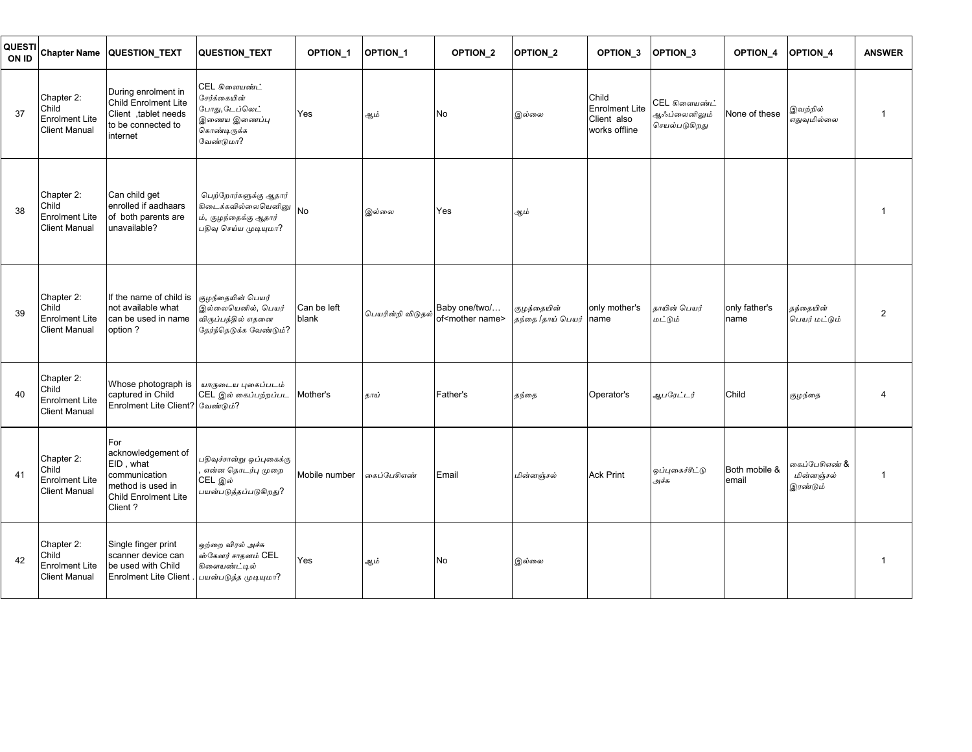| <b>QUESTI</b><br>ON ID | <b>Chapter Name</b>                                                  | <b>QUESTION TEXT</b>                                                                                            | <b>QUESTION TEXT</b>                                                                           | <b>OPTION 1</b>      | <b>OPTION 1</b>                 | <b>OPTION 2</b>                               | <b>OPTION 2</b>                  | OPTION_3                                                       | OPTION 3                                                | <b>OPTION 4</b>        | <b>OPTION 4</b>                         | <b>ANSWER</b>  |
|------------------------|----------------------------------------------------------------------|-----------------------------------------------------------------------------------------------------------------|------------------------------------------------------------------------------------------------|----------------------|---------------------------------|-----------------------------------------------|----------------------------------|----------------------------------------------------------------|---------------------------------------------------------|------------------------|-----------------------------------------|----------------|
| 37                     | Chapter 2:<br>Child<br><b>Enrolment Lite</b><br><b>Client Manual</b> | During enrolment in<br>Child Enrolment Lite<br>Client ,tablet needs<br>to be connected to<br>internet           | CEL கிளையண்ட்<br>சேர்க்கையின்<br>போது,டேப்லெட்<br>இணைய இணைப்பு<br>கொண்டிருக்க<br>வேண்டுமா?     | Yes                  | ஆம்                             | No                                            | இல்லை                            | Child<br><b>Enrolment Lite</b><br>Client also<br>works offline | CEL கிளையண்ட்<br>ஆஃப்லைனி <u>லு</u> ம்<br>செயல்படுகிறது | None of these          | இவற்றில்<br>எதுவுமில்லை                 | 1              |
| 38                     | Chapter 2:<br>Child<br><b>Enrolment Lite</b><br><b>Client Manual</b> | Can child get<br>enrolled if aadhaars<br>of both parents are<br>unavailable?                                    | பெற்றோர்களுக்கு ஆதார்<br>கிடைக்கவில்லையெனினு<br>ம், குழந்தைக்கு ஆதார்<br>பதிவு செய்ய முடியுமா? | <b>No</b>            | இல்லை                           | Yes                                           | ஆம்                              |                                                                |                                                         |                        |                                         |                |
| 39                     | Chapter 2:<br>Child<br><b>Enrolment Lite</b><br><b>Client Manual</b> | If the name of child is<br>not available what<br>can be used in name<br>option?                                 | குழந்தையின் பெயர்<br>இல்லையெனில், பெயர்<br>விருப்பத்தில் எதனை<br>தேர்ந்தெடுக்க வேண்டும்?       | Can be left<br>blank | பெயரின்றி விடுதல <mark>்</mark> | Baby one/two/<br>of <mother name=""></mother> | குழந்தையின்<br>தந்தை /தாய் பெயர் | only mother's<br>name                                          | காயின் பெயர்<br>மட்டும்                                 | only father's<br>name  | தந்தையின்<br>பெயர் மட்டும்              | $\overline{2}$ |
| 40                     | Chapter 2:<br>Child<br><b>Enrolment Lite</b><br><b>Client Manual</b> | Whose photograph is<br>captured in Child<br>Enrolment Lite Client? வேண்டும்?                                    | யாருடைய புகைப்படம்<br>CEL இல் கைப்பற்றப்பட                                                     | Mother's             | காய்                            | Father's                                      | தந்தை                            | Operator's                                                     | ஆபரேட்டர்                                               | Child                  | குழந்தை                                 |                |
| 41                     | Chapter 2:<br>Child<br><b>Enrolment Lite</b><br><b>Client Manual</b> | For<br>acknowledgement of<br>EID, what<br>communication<br>method is used in<br>Child Enrolment Lite<br>Client? | பதிவுச்சான்று ஒப்புகைக்கு<br>என்ன தொடர்பு முறை<br>CEL இல்<br>பயன்படுத்தப்படுகிறது?             | Mobile number        | கைப்பேசிஎண்                     | Email                                         | மின்னஞ்சல்                       | <b>Ack Print</b>                                               | ஒப்புகைச்சீட்டு<br>அச்சு                                | Both mobile &<br>email | கைப்பேசிஎண் &<br>மின்னஞ்சல்<br>இரண்டும் | $\mathbf 1$    |
| 42                     | Chapter 2:<br>Child<br><b>Enrolment Lite</b><br><b>Client Manual</b> | Single finger print<br>scanner device can<br>be used with Child<br><b>Enrolment Lite Client</b>                 | ஒற்றை விரல் அச்சு<br>ஸ்கேனர் சாதனம் CEL<br>கிளையண்ட்டில்<br>பயன்படுத்த முடியுமா?               | Yes                  | ஆம்                             | No                                            | இல்லை                            |                                                                |                                                         |                        |                                         |                |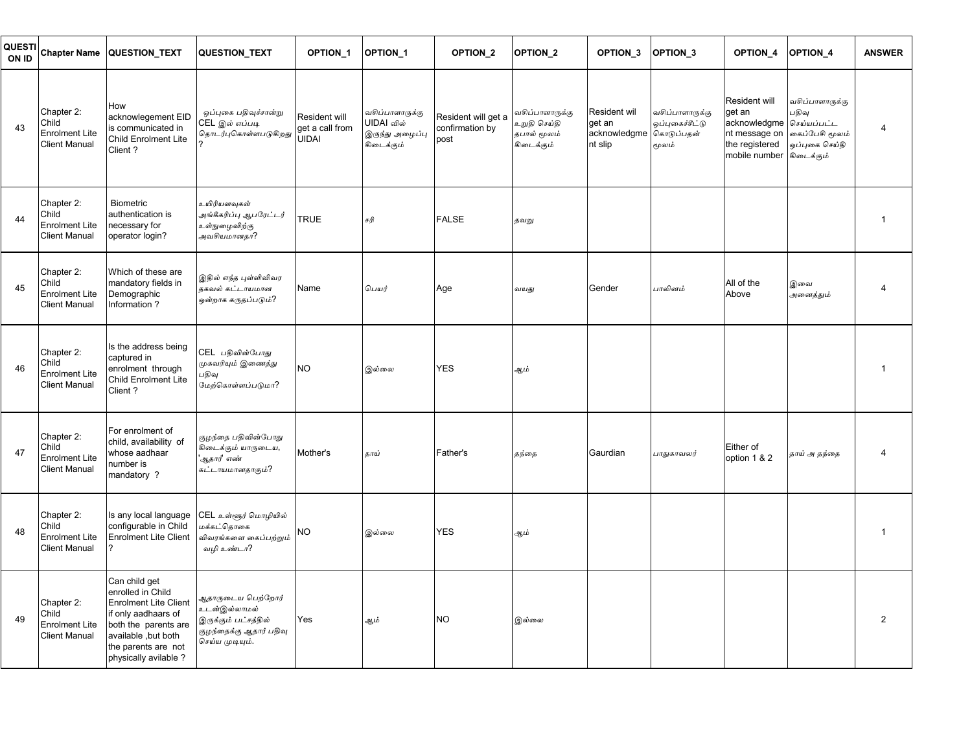| QUESTI<br>ON ID |                                                                      | Chapter Name QUESTION_TEXT                                                                                                                                                              | <b>QUESTION TEXT</b>                                                                                    | OPTION_1                                         | OPTION <sub>1</sub>                                            | OPTION_2                                       | <b>OPTION 2</b>                                              | OPTION_3                                          | OPTION 3                                                  | <b>OPTION 4</b>                                                                                                    | <b>OPTION 4</b>                                              | <b>ANSWER</b>  |
|-----------------|----------------------------------------------------------------------|-----------------------------------------------------------------------------------------------------------------------------------------------------------------------------------------|---------------------------------------------------------------------------------------------------------|--------------------------------------------------|----------------------------------------------------------------|------------------------------------------------|--------------------------------------------------------------|---------------------------------------------------|-----------------------------------------------------------|--------------------------------------------------------------------------------------------------------------------|--------------------------------------------------------------|----------------|
| 43              | Chapter 2:<br>Child<br><b>Enrolment Lite</b><br><b>Client Manual</b> | How<br>acknowlegement EID<br>is communicated in<br><b>Child Enrolment Lite</b><br>Client?                                                                                               | ஒப்புகை பதிவுச்சான்று<br>CEL இல் எப்படி<br>தொடர்புகொள்ளபடுகிறது                                         | Resident will<br>get a call from<br><b>UIDAI</b> | வசிப்பாளாருக்கு<br>UIDAI வில்<br>இருந்து அழைப்பு<br>கிடைக்கும் | Resident will get a<br>confirmation by<br>post | வசிப்பாளாருக்கு<br>உறுதி செய்தி<br>தபால் மூலம்<br>கிடைக்கும் | Resident wil<br>get an<br>acknowledgme<br>nt slip | வசிப்பாளாருக்கு<br>ஒப்புகைச்சீட்டு<br>கொடுப்பதன்<br>மூலம் | Resident will<br>get an<br>acknowledgme செய்யப்பட்ட<br>nt message on<br>the registered<br>mobile number கிடைக்கும் | வசிப்பாளாருக்கு<br>பதிவு<br>கைப்பேசி மூலம்<br>ஒப்புகை செய்தி | $\overline{4}$ |
| 44              | Chapter 2:<br>Child<br><b>Enrolment Lite</b><br><b>Client Manual</b> | <b>Biometric</b><br>authentication is<br>necessary for<br>operator login?                                                                                                               | உயிரியளவுகள்<br>அங்கீகரிப்பு ஆபரேட்டர <mark>்</mark><br>உள்நுழைவிற்கு<br>அவசியமானதா?                    | <b>TRUE</b>                                      | சரி                                                            | <b>FALSE</b>                                   | தவறு                                                         |                                                   |                                                           |                                                                                                                    |                                                              | 1              |
| 45              | Chapter 2:<br>Child<br><b>Enrolment Lite</b><br><b>Client Manual</b> | Which of these are<br>mandatory fields in<br>Demographic<br>Information?                                                                                                                | இதில் எந்த புள்ளிவிவர<br>தகவல் கட்டாயமான<br>ஒன்றாக கருதப்படும்?                                         | Name                                             | பெயர்                                                          | Age                                            | வயது                                                         | Gender                                            | பாலினம்                                                   | All of the<br>Above                                                                                                | இவை<br>அனைத்தும்                                             | 4              |
| 46              | Chapter 2:<br>Child<br><b>Enrolment Lite</b><br><b>Client Manual</b> | Is the address being<br>captured in<br>enrolment through<br><b>Child Enrolment Lite</b><br>Client?                                                                                      | CEL பதிவின்போது<br>முகவரியும் இணைத்து<br>பதிவு<br>மேற்கொள்ளப்படுமா?                                     | <b>NO</b>                                        | இல்லை                                                          | <b>YES</b>                                     | ஆம்                                                          |                                                   |                                                           |                                                                                                                    |                                                              | 1              |
| 47              | Chapter 2:<br>Child<br><b>Enrolment Lite</b><br><b>Client Manual</b> | For enrolment of<br>child, availability of<br>whose aadhaar<br>number is<br>mandatory?                                                                                                  | குழந்தை பதிவின்போத <mark>ு</mark><br>கிடைக்கும் யாருடைய,<br>ஆதார்' எண்<br>கட்டாயமானதாகும்?              | Mother's                                         | தாய்                                                           | Father's                                       | தந்தை                                                        | Gaurdian                                          | பாதுகாவலர்                                                | Either of<br>option 1 & 2                                                                                          | தாய் அதந்தை                                                  | 4              |
| 48              | Chapter 2:<br>Child<br><b>Enrolment Lite</b><br><b>Client Manual</b> | Is any local language<br>configurable in Child<br><b>Enrolment Lite Client</b>                                                                                                          | CEL உள்ளூர் மொழியில்<br>மக்கட்கொகை<br>விவரங்களை கைப்பற்றும்<br>வமி உண்டா?                               | <b>NO</b>                                        | இல்லை                                                          | <b>YES</b>                                     | ஆம்                                                          |                                                   |                                                           |                                                                                                                    |                                                              | -1             |
| 49              | Chapter 2:<br>Child<br><b>Enrolment Lite</b><br><b>Client Manual</b> | Can child get<br>enrolled in Child<br><b>Enrolment Lite Client</b><br>if only aadhaars of<br>both the parents are<br>available, but both<br>the parents are not<br>physically avilable? | ஆதாருடைய பெற்றோர்<br>உடன்இல்லாமல்<br>இருக்கும் பட்சத்தில்<br>குழந்தைக்கு ஆதார் பதிவு<br>செய்ய முடியும். | Yes                                              | ஆம்                                                            | <b>NO</b>                                      | இல்லை                                                        |                                                   |                                                           |                                                                                                                    |                                                              | $\overline{2}$ |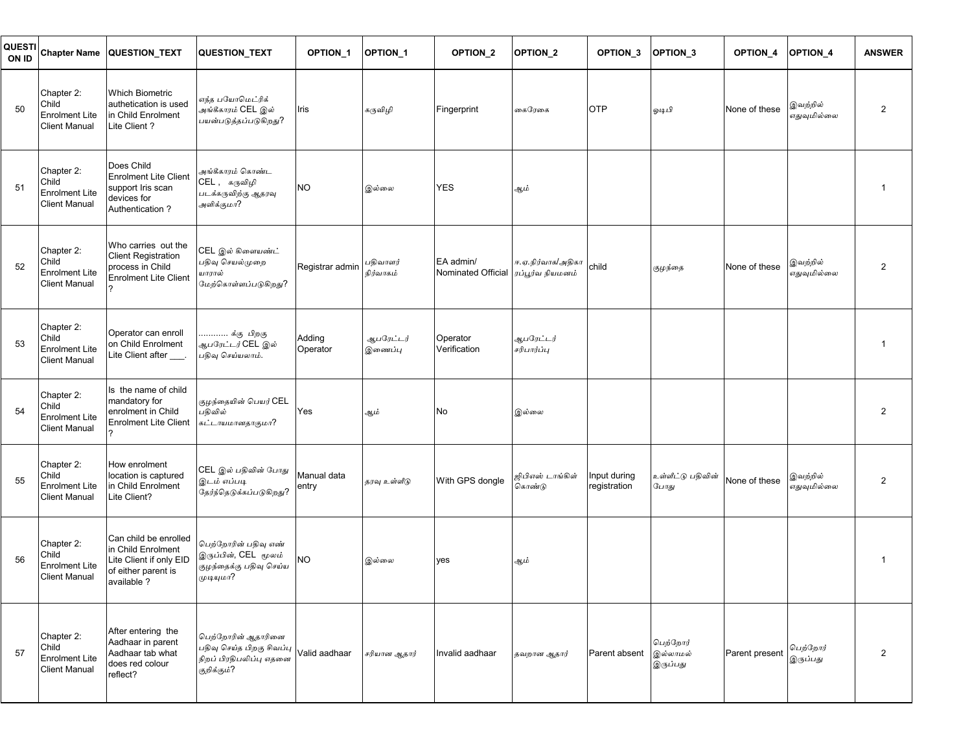| QUESTI<br>ON ID | <b>Chapter Name</b>                                                  | <b>QUESTION TEXT</b>                                                                                         | <b>QUESTION TEXT</b>                                                                                                                   | OPTION <sub>1</sub>  | <b>OPTION 1</b>       | OPTION <sub>2</sub>             | OPTION <sub>2</sub>                   | <b>OPTION 3</b>              | OPTION <sub>3</sub>              | <b>OPTION 4</b> | <b>OPTION 4</b>         | <b>ANSWER</b>  |
|-----------------|----------------------------------------------------------------------|--------------------------------------------------------------------------------------------------------------|----------------------------------------------------------------------------------------------------------------------------------------|----------------------|-----------------------|---------------------------------|---------------------------------------|------------------------------|----------------------------------|-----------------|-------------------------|----------------|
| 50              | Chapter 2:<br>Child<br><b>Enrolment Lite</b><br><b>Client Manual</b> | <b>Which Biometric</b><br>authetication is used<br>in Child Enrolment<br>Lite Client?                        | எந்த பயோமெட்ரிக்<br>அங்கீகாரம் CEL இல்<br>பயன்படுத்தப்படுகிறது?                                                                        | Iris                 | கருவிழி               | Fingerprint                     | கைரேகை                                | <b>OTP</b>                   | ஓடிபி                            | None of these   | இவற்றில்<br>எதுவுமில்லை | $\overline{2}$ |
| 51              | Chapter 2:<br>Child<br><b>Enrolment Lite</b><br>Client Manual        | Does Child<br><b>Enrolment Lite Client</b><br>support Iris scan<br>devices for<br>Authentication?            | அங்கீகாரம் கொண்ட<br>CEL , கருவிழி<br>படக்கருவிற்கு ஆதரவு<br>அளிக்குமா?                                                                 | <b>NO</b>            | இல்லை                 | <b>YES</b>                      | ஆம்                                   |                              |                                  |                 |                         | 1              |
| 52              | Chapter 2:<br>Child<br><b>Enrolment Lite</b><br><b>Client Manual</b> | Who carries out the<br><b>Client Registration</b><br>process in Child<br><b>Enrolment Lite Client</b>        | CEL இல் கிளையண்ட்<br>பதிவு செயல்முறை<br>யாரால்<br>மேற்கொள்ளப்படுகிறது?                                                                 | Registrar admin      | பதிவாளர்<br>நிர்வாகம் | EA admin/<br>Nominated Official | ஈ.ஏ.நிர்வாக/அதிகா<br>ரப்பூர்வ நியமனம் | child                        | குழந்தை                          | None of these   | இவற்றில்<br>எதுவுமில்லை | 2              |
| 53              | Chapter 2:<br>Child<br><b>Enrolment Lite</b><br>Client Manual        | Operator can enroll<br>on Child Enrolment<br>Lite Client after ___.                                          | க்கு பிறகு<br><i>ஆபரேட்டர்</i> CEL இல்<br>பதிவு செய்யலாம்.                                                                             | Adding<br>Operator   | ஆபரேட்டர்<br>இணைப்பு  | Operator<br>Verification        | ஆபரேட்டர்<br>சரிபார்ப்பு              |                              |                                  |                 |                         | 1              |
| 54              | Chapter 2:<br>Child<br><b>Enrolment Lite</b><br><b>Client Manual</b> | Is the name of child<br>mandatory for<br>enrolment in Child<br><b>Enrolment Lite Client</b>                  | குழந்தையின் பெயர் CEL<br>பதிவில்<br>கட்டாயமானதாகுமா?                                                                                   | Yes                  | ஆம்                   | No                              | இல்லை                                 |                              |                                  |                 |                         | $\overline{2}$ |
| 55              | Chapter 2:<br>Child<br><b>Enrolment Lite</b><br><b>Client Manual</b> | How enrolment<br>location is captured<br>in Child Enrolment<br>Lite Client?                                  | CEL இல் பதிவின் போது<br>இடம் எப்படி<br>தேர்ந்தெடுக்கப்படுகிறது?                                                                        | Manual data<br>entry | தரவு உள்ளீடு          | With GPS dongle                 | ஜிபிஎஸ் டாங்கிள்<br>கொண்டு            | Input during<br>registration | உள்ளீட்டு பதிவின்<br>போது        | None of these   | இவற்றில்<br>எதுவுமில்லை | $\overline{2}$ |
| 56              | Chapter 2:<br>Child<br><b>Enrolment Lite</b><br><b>Client Manual</b> | Can child be enrolled<br>in Child Enrolment<br>Lite Client if only EID<br>of either parent is<br>available ? | பெற்றோரின் பதிவு எண்<br>இருப்பின், CEL மூலம்<br>குழந்தைக்கு பதிவு செய்ய<br>முடியுமா?                                                   | <b>NO</b>            | இல்லை                 | yes                             | ஆம்                                   |                              |                                  |                 |                         | 1              |
| 57              | Chapter 2:<br>Child<br><b>Enrolment Lite</b><br><b>Client Manual</b> | After entering the<br>Aadhaar in parent<br>Aadhaar tab what<br>does red colour<br>reflect?                   | பெற்றோரின் ஆதாரினை<br>பதி உதிரை பிறகு சிவப்பு  <br>பதிவு செய்த பிறகு சிவப்பு   Valid aadhaar<br>நிறப் பிரதிபலிப்பு எதனை<br>குறிக்கும்? |                      | சரியான ஆதார்          | Invalid aadhaar                 | தவறான ஆதார்                           | Parent absent                | பெற்றோர்<br>இல்லாமல்<br>இருப்பது | Parent present  | பெற்றோர்<br>இருப்பது    | $\overline{2}$ |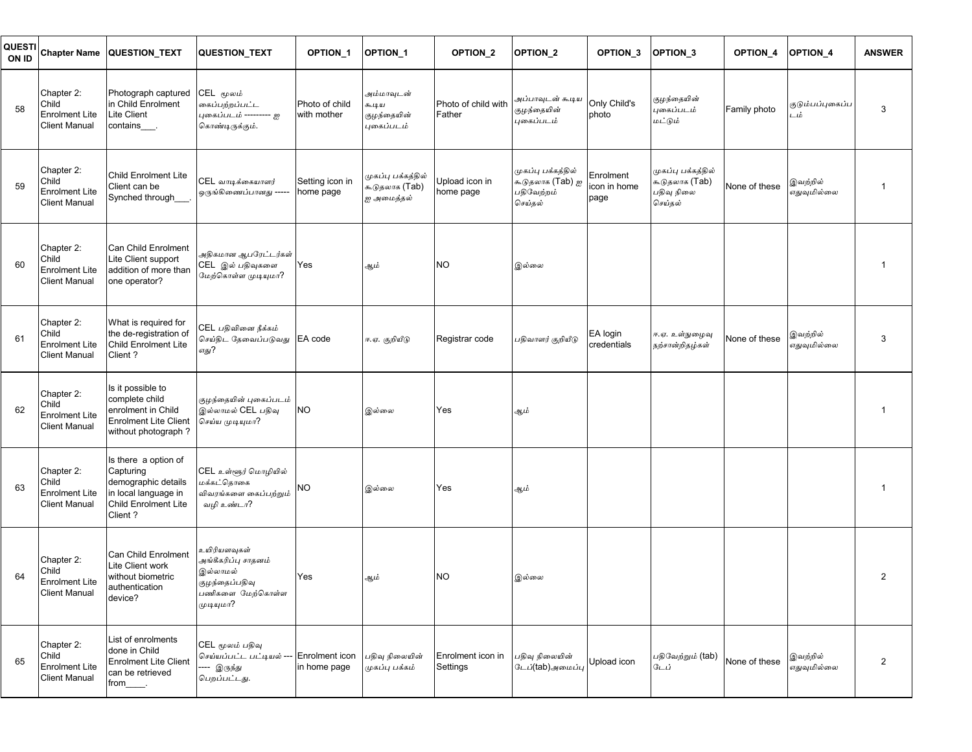| QUESTI<br>ON ID | <b>Chapter Name</b>                                                  | <b>QUESTION TEXT</b>                                                                                                       | <b>QUESTION TEXT</b>                                                                               | <b>OPTION 1</b>                | <b>OPTION 1</b>                                    | OPTION <sub>2</sub>           | OPTION <sub>2</sub>                                             | <b>OPTION 3</b>                   | OPTION <sub>3</sub>                                           | <b>OPTION 4</b> | <b>OPTION 4</b>         | <b>ANSWER</b>  |
|-----------------|----------------------------------------------------------------------|----------------------------------------------------------------------------------------------------------------------------|----------------------------------------------------------------------------------------------------|--------------------------------|----------------------------------------------------|-------------------------------|-----------------------------------------------------------------|-----------------------------------|---------------------------------------------------------------|-----------------|-------------------------|----------------|
| 58              | Chapter 2:<br>Child<br><b>Enrolment Lite</b><br><b>Client Manual</b> | Photograph captured<br>in Child Enrolment<br>Lite Client<br>contains <sub></sub>                                           | CEL மூலம்<br>கைப்பற்றப்பட்ட<br>புகைப்படம் --------- ஐ<br>கொண்டிருக்கும்.                           | Photo of child<br>with mother  | அம்மாவுடன்<br>கூடிய<br>குழந்தையின்<br>புகைப்படம்   | Photo of child with<br>Father | அப்பாவுடன் கூடிய<br>குழந்தையின்<br>புகைப்படம்                   | Only Child's<br>photo             | குழந்தையின்<br>புகைப்படம்<br>மட்டும்                          | Family photo    | குடும்பப்புகைப்ப<br>டம் | 3              |
| 59              | Chapter 2:<br>Child<br><b>Enrolment Lite</b><br><b>Client Manual</b> | <b>Child Enrolment Lite</b><br>Client can be<br>Synched through_                                                           | CEL வாடிக்கையாளர்<br>ஒருங்கிணைப்பானது --                                                           | Setting icon in<br>home page   | முகப்பு பக்கத்தில்<br>கூடுதலாக (Tab)<br>ஐ அமைத்தல் | Upload icon in<br>home page   | முகப்பு பக்கத்தில்<br>கூடுதலாக (Tab) ஐ<br>பதிவேற்றம்<br>செய்தல் | Enrolment<br>icon in home<br>page | முகப்பு பக்கத்தில்<br>கூடுதலாக (Tab)<br>பதிவு நிலை<br>செய்தல் | None of these   | இவற்றில்<br>எதுவுமில்லை | 1              |
| 60              | Chapter 2:<br>Child<br><b>Enrolment Lite</b><br><b>Client Manual</b> | Can Child Enrolment<br>Lite Client support<br>addition of more than<br>one operator?                                       | அதிகமான ஆபரேட்டர்கள்<br>CEL இல் பதிவுகளை<br>மேற்கொள்ள முடியமா?                                     | Yes                            | ஆம்                                                | NO.                           | இல்லை                                                           |                                   |                                                               |                 |                         | 1              |
| 61              | Chapter 2:<br>Child<br><b>Enrolment Lite</b><br><b>Client Manual</b> | What is required for<br>the de-registration of<br>Child Enrolment Lite<br>Client?                                          | CEL பகிவினை நீக்கம்<br>செய்திட தேவைப்படுவது<br>எது?                                                | EA code                        | ஈ.ஏ. குறியீடு                                      | Registrar code                | பதிவாளர் குறியீட <mark>ு</mark>                                 | EA login<br>credentials           | ஈ.ஏ. உள்நுழைவு<br>நற்சான்றிதழ்கள்                             | None of these   | இவற்றில்<br>எதுவுமில்லை | 3              |
| 62              | Chapter 2:<br>Child<br><b>Enrolment Lite</b><br>Client Manual        | Is it possible to<br>complete child<br>enrolment in Child<br><b>Enrolment Lite Client</b><br>without photograph?           | குழந்தையின் புகைப்படம்<br>இல்லாமல் CEL பதிவு<br>செய்ய முடியுமா?                                    | <b>NO</b>                      | இல்லை                                              | Yes                           | ஆம்                                                             |                                   |                                                               |                 |                         | 1              |
| 63              | Chapter 2:<br>Child<br><b>Enrolment Lite</b><br><b>Client Manual</b> | Is there a option of<br>Capturing<br>demographic details<br>in local language in<br><b>Child Enrolment Lite</b><br>Client? | CEL உள்ளூர் மொழியில்<br>மக்கட்தொகை<br>விவரங்களை கைப்பற்றும்<br>வழி உண்டா?                          | <b>NO</b>                      | இல்லை                                              | Yes                           | ஆம்                                                             |                                   |                                                               |                 |                         |                |
| 64              | Chapter 2:<br>Child<br><b>Enrolment Lite</b><br>Client Manual        | Can Child Enrolment<br>Lite Client work<br>without biometric<br>authentication<br>device?                                  | உயிரியளவுகள்<br>அங்கீகரிப்பு சாதனம்<br>இல்லாமல்<br>குழந்தைப்பதிவு<br>பணிகளை மேற்கொள்ள<br>முடியுமா? | Yes                            | ஆம்                                                | <b>NO</b>                     | இல்லை                                                           |                                   |                                                               |                 |                         | 2              |
| 65              | Chapter 2:<br>Child<br><b>Enrolment Lite</b><br><b>Client Manual</b> | List of enrolments<br>done in Child<br><b>Enrolment Lite Client</b><br>can be retrieved<br>from_____.                      | CEL மூலம் பதிவு<br>செய்யப்பட்ட பட்டியல் ---<br>---- இருந்து<br>பெறப்பட்டது.                        | Enrolment icon<br>in home page | பதிவு நிலையின்<br>முகப்பு பக்கம்                   | Enrolment icon in<br>Settings | பதிவு நிலையின்<br>டேப்(tab)அமைப்பு                              | Upload icon                       | பதிவேற்றும் (tab)<br>டேப்                                     | None of these   | இவற்றில்<br>எதுவுமில்லை | $\overline{2}$ |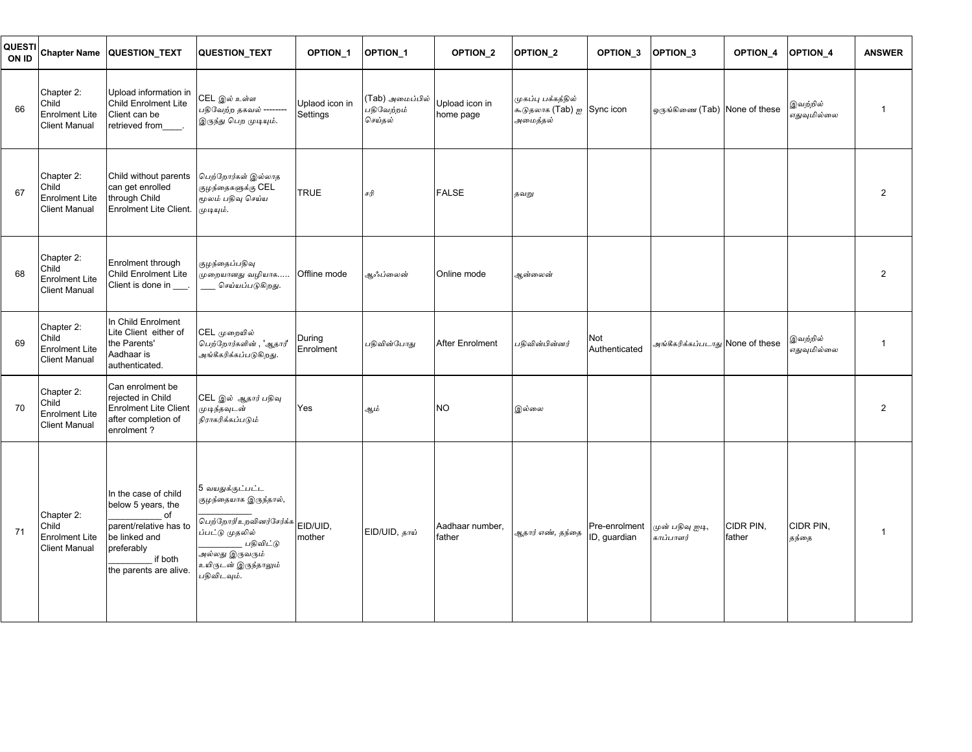| <b>QUESTI</b><br>ON ID | <b>Chapter Name</b>                                                  | QUESTION_TEXT                                                                                                                                  | <b>QUESTION TEXT</b>                                                                                                                                                          | OPTION_1                   | OPTION_1                                 | OPTION_2                    | OPTION <sub>2</sub>                                          | OPTION_3                      | OPTION_3                         | OPTION_4            | OPTION_4                | <b>ANSWER</b>  |
|------------------------|----------------------------------------------------------------------|------------------------------------------------------------------------------------------------------------------------------------------------|-------------------------------------------------------------------------------------------------------------------------------------------------------------------------------|----------------------------|------------------------------------------|-----------------------------|--------------------------------------------------------------|-------------------------------|----------------------------------|---------------------|-------------------------|----------------|
| 66                     | Chapter 2:<br>Child<br><b>Enrolment Lite</b><br><b>Client Manual</b> | Upload information in<br><b>Child Enrolment Lite</b><br>Client can be<br>retrieved from                                                        | CEL இல் உள்ள<br>பதிவேற்ற தகவல் --------<br>இருந்து பெற முடியும்.                                                                                                              | Uplaod icon in<br>Settings | (Tab) அமைப்பில்<br>பதிவேற்றம்<br>செய்தல் | Upload icon in<br>home page | முகப்பு பக்கத்தில்<br>கூடுதலாக (Tab) ஐ Sync icon<br>அமைத்தல் |                               | ஒருங்கிணை (Tab) None of these    |                     | இவற்றில்<br>எதுவுமில்லை | $\mathbf{1}$   |
| 67                     | Chapter 2:<br>Child<br><b>Enrolment Lite</b><br><b>Client Manual</b> | Child without parents<br>can get enrolled<br>through Child<br>Enrolment Lite Client.                                                           | பெற்றோர்கள் இல்லாத<br>குழந்தைகளுக்கு CEL<br>மூலம் பதிவு செய்ய<br>முடியும்.                                                                                                    | <b>TRUE</b>                | சரி                                      | <b>FALSE</b>                | தவறு                                                         |                               |                                  |                     |                         | $\overline{2}$ |
| 68                     | Chapter 2:<br>Child<br><b>Enrolment Lite</b><br><b>Client Manual</b> | Enrolment through<br><b>Child Enrolment Lite</b><br>Client is done in                                                                          | குழந்தைப்பதிவு<br>முறையானது வழியாக…<br>___ செய்யப்படுகிறது.                                                                                                                   | Offline mode               | ஆஃப்லைன்                                 | Online mode                 | ஆன்லைன்                                                      |                               |                                  |                     |                         | $\overline{2}$ |
| 69                     | Chapter 2:<br>Child<br><b>Enrolment Lite</b><br><b>Client Manual</b> | In Child Enrolment<br>Lite Client either of<br>the Parents'<br>Aadhaar is<br>authenticated.                                                    | CEL முறையில்<br>பெற்றோர்களின் , 'ஆதார்'<br>அங்கீகரிக்கப்படுகிறது.                                                                                                             | During<br>Enrolment        | பகிவின்போகு                              | <b>After Enrolment</b>      | பகிவின்பின்னர்                                               | Not<br>Authenticated          | அங்கீகரிக்கப்படாது None of these |                     | இவற்றில்<br>எதுவுமில்லை | $\mathbf{1}$   |
| 70                     | Chapter 2:<br>Child<br><b>Enrolment Lite</b><br><b>Client Manual</b> | Can enrolment be<br>rejected in Child<br><b>Enrolment Lite Client</b><br>after completion of<br>enrolment?                                     | CEL இல் <i>ஆதார்</i> பதிவு<br>முடிந்தவுடன்<br>நிராகரிக்கப்படும்                                                                                                               | Yes                        | ஆம்                                      | <b>NO</b>                   | இல்லை                                                        |                               |                                  |                     |                         | $\overline{2}$ |
| 71                     | Chapter 2:<br>Child<br><b>Enrolment Lite</b><br><b>Client Manual</b> | In the case of child<br>below 5 years, the<br>of<br>parent/relative has to<br>be linked and<br>preferably<br>if both<br>the parents are alive. | 5 வயதுக்குட்பட்ட<br>குழந்தையாக இருந்தால்,<br>பெற்றோர்/உறவினர்சேர்க்க<br>ப்பட்டு முதலில்<br>பதிவிட்டு<br>அல்லது இருவர <mark>ு</mark> ம்<br>உயிருடன் இருந்தாலும்<br>பதிவிடவும். | EID/UID,<br>mother         | EID/UID, தாய்                            | Aadhaar number,<br>father   | ஆதார் எண், தந்தை                                             | Pre-enrolment<br>ID, quardian | முன் பதிவு ஐடி,<br>காப்பாளர்     | CIDR PIN,<br>father | CIDR PIN,<br>தந்தை      | $\mathbf{1}$   |